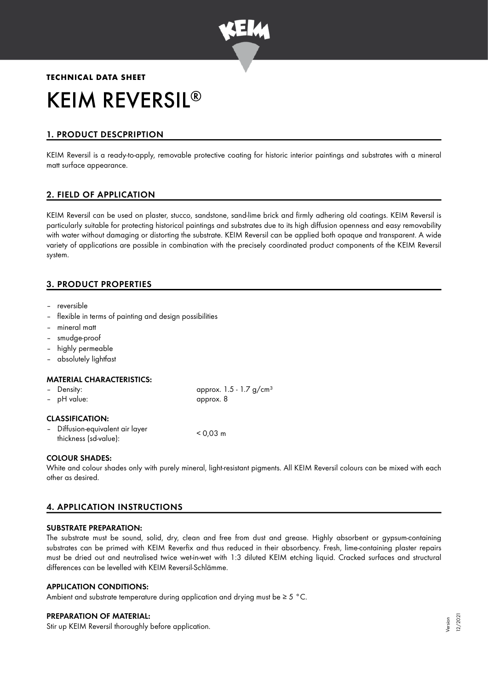

# **TECHNICAL DATA SHEET** KEIM REVERSIL ®

# 1. PRODUCT DESCPRIPTION

KEIM Reversil is a ready-to-apply, removable protective coating for historic interior paintings and substrates with a mineral matt surface appearance.

# 2. FIELD OF APPLICATION

KEIM Reversil can be used on plaster, stucco, sandstone, sand-lime brick and firmly adhering old coatings. KEIM Reversil is particularly suitable for protecting historical paintings and substrates due to its high diffusion openness and easy removability with water without damaging or distorting the substrate. KEIM Reversil can be applied both opaque and transparent. A wide variety of applications are possible in combination with the precisely coordinated product components of the KEIM Reversil system.

# 3. PRODUCT PROPERTIES

- reversible
- flexible in terms of painting and design possibilities
- mineral matt
- smudge-proof
- highly permeable
- absolutely lightfast

#### MATERIAL CHARACTERISTICS:

| - Density:             | approx. $1.5 - 1.7$ g/cm <sup>3</sup> |
|------------------------|---------------------------------------|
| - pH value:            | approx. 8                             |
| <b>CLASSIFICATION:</b> |                                       |

| - Diffusion-equivalent air layer | $< 0.03$ m |
|----------------------------------|------------|
| thickness (sd-value):            |            |

#### COLOUR SHADES:

White and colour shades only with purely mineral, light-resistant pigments. All KEIM Reversil colours can be mixed with each other as desired.

# 4. APPLICATION INSTRUCTIONS

#### SUBSTRATE PREPARATION:

The substrate must be sound, solid, dry, clean and free from dust and grease. Highly absorbent or gypsum-containing substrates can be primed with KEIM Reverfix and thus reduced in their absorbency. Fresh, lime-containing plaster repairs must be dried out and neutralised twice wet-in-wet with 1:3 diluted KEIM etching liquid. Cracked surfaces and structural differences can be levelled with KEIM Reversil-Schlämme.

#### APPLICATION CONDITIONS:

Ambient and substrate temperature during application and drying must be  $\geq 5$  °C.

#### PREPARATION OF MATERIAL:

Stir up KEIM Reversil thoroughly before application.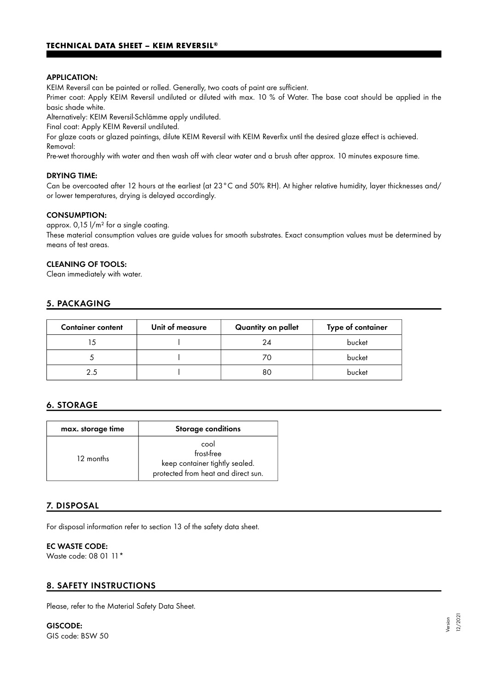#### APPLICATION:

KEIM Reversil can be painted or rolled. Generally, two coats of paint are sufficient.

Primer coat: Apply KEIM Reversil undiluted or diluted with max. 10 % of Water. The base coat should be applied in the basic shade white.

Alternatively: KEIM Reversil-Schlämme apply undiluted.

Final coat: Apply KEIM Reversil undiluted.

For glaze coats or glazed paintings, dilute KEIM Reversil with KEIM Reverfix until the desired glaze effect is achieved. Removal:

Pre-wet thoroughly with water and then wash off with clear water and a brush after approx. 10 minutes exposure time.

#### DRYING TIME:

Can be overcoated after 12 hours at the earliest (at 23°C and 50% RH). At higher relative humidity, layer thicknesses and/ or lower temperatures, drying is delayed accordingly.

#### CONSUMPTION:

approx.  $0.15$   $1/m^2$  for a single coating.

These material consumption values are guide values for smooth substrates. Exact consumption values must be determined by means of test areas.

#### CLEANING OF TOOLS:

Clean immediately with water.

## 5. PACKAGING

| <b>Container content</b> | Unit of measure | Quantity on pallet | Type of container |
|--------------------------|-----------------|--------------------|-------------------|
|                          |                 | 24                 | bucket            |
|                          |                 |                    | bucket            |
| 25                       |                 | 80                 | bucket            |

## 6. STORAGE

| max. storage time | <b>Storage conditions</b>                                                                   |
|-------------------|---------------------------------------------------------------------------------------------|
| 12 months         | cool<br>frost-free<br>keep container tightly sealed.<br>protected from heat and direct sun. |

## 7. DISPOSAL

For disposal information refer to section 13 of the safety data sheet.

#### EC WASTE CODE:

Waste code: 08 01 11\*

## 8. SAFETY INSTRUCTIONS

Please, refer to the Material Safety Data Sheet.